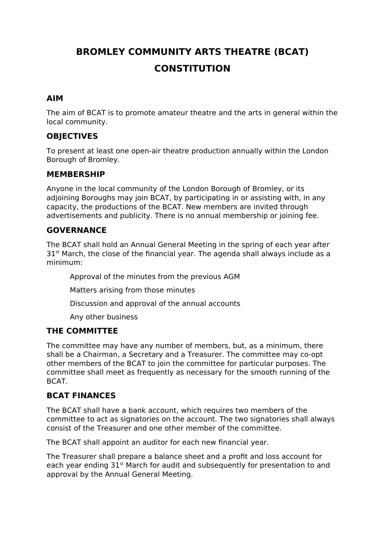# **BROMLEY COMMUNITY ARTS THEATRE (BCAT) CONSTITUTION**

#### **AIM**

The aim of BCAT is to promote amateur theatre and the arts in general within the local community.

#### **OBJECTIVES**

To present at least one open-air theatre production annually within the London Borough of Bromley.

#### **MEMBERSHIP**

Anyone in the local community of the London Borough of Bromley, or its adjoining Boroughs may join BCAT, by participating in or assisting with, in any capacity, the productions of the BCAT. New members are invited through advertisements and publicity. There is no annual membership or joining fee.

#### **GOVERNANCE**

The BCAT shall hold an Annual General Meeting in the spring of each year after  $31<sup>st</sup>$  March, the close of the financial year. The agenda shall always include as a minimum:

Approval of the minutes from the previous AGM

Matters arising from those minutes

Discussion and approval of the annual accounts

Any other business

#### **THE COMMITTEE**

The committee may have any number of members, but, as a minimum, there shall be a Chairman, a Secretary and a Treasurer. The committee may co-opt other members of the BCAT to join the committee for particular purposes. The committee shall meet as frequently as necessary for the smooth running of the BCAT.

## **BCAT FINANCES**

The BCAT shall have a bank account, which requires two members of the committee to act as signatories on the account. The two signatories shall always consist of the Treasurer and one other member of the committee.

The BCAT shall appoint an auditor for each new financial year.

The Treasurer shall prepare a balance sheet and a profit and loss account for each year ending 31<sup>st</sup> March for audit and subsequently for presentation to and approval by the Annual General Meeting.